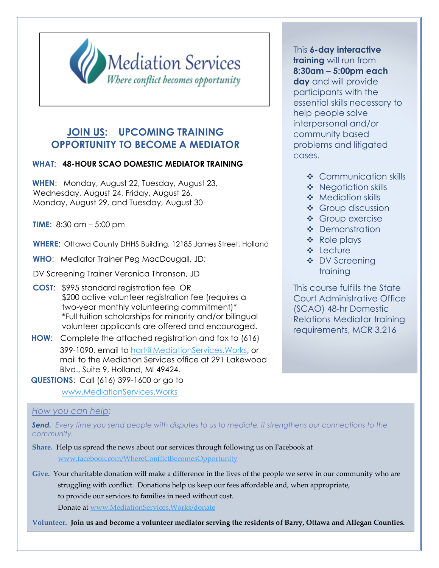

## **JOIN US: UPCOMING TRAINING OPPORTUNITY TO BECOME A MEDIATOR**

## **WHAT**: **48-HOUR SCAO DOMESTIC MEDIATOR TRAINING**

**WHEN**: Monday, August 22, Tuesday, August 23, Wednesday, August 24, Friday, August 26, Monday, August 29, and Tuesday, August 30

**TIME:** 8:30 am – 5:00 pm

**WHERE**: Ottawa County DHHS Building, 12185 James Street, Holland

**WHO**: Mediator Trainer Peg MacDougall, JD;

DV Screening Trainer Veronica Thronson, JD

- **COST**: \$995 standard registration fee OR \$200 active volunteer registration fee (requires a two-year monthly volunteering commitment)\* \*Full tuition scholarships for minority and/or bilingual volunteer applicants are offered and encouraged.
- **HOW**: Complete the attached registration and fax to (616) 399-1090, email to [hart@MediationServices.Works,](mailto:hart@MediationServices.Works) or mail to the Mediation Services office at 291 Lakewood [Blvd., Suite 9, Holland, MI 49424.](http://www.mediationservices.works/)
- **QUESTIONS**: Call (616) 399-1600 or go to

www.MediationServices.Works

## *How you can help:*

*Send. Every time you send people with disputes to us to mediate, it strengthens our connections to the community.*

**Share.** Help us spread the news about our services through following us on Facebook at www.facebook.com/WhereConflictBecomesOpportunity

**Give.** Your charitable donation will make a difference in the lives of the people we serve in our community who are struggling with conflict. Donations help us keep our fees affordable and, when appropriate, to provide our services to families in need without cost. Donate at [www.MediationServices.Works/donate](http://www.mediationservices.works/donate) 

**Volunteer. Join us and become a volunteer mediator serving the residents of Barry, Ottawa and Allegan Counties.**

This **6-day interactive training** will run from **8:30am – 5:00pm each day** and will provide participants with the essential skills necessary to help people solve interpersonal and/or community based problems and litigated cases.

- ❖ Communication skills
- ❖ Negotiation skills
- ❖ Mediation skills
- ❖ Group discussion
- ❖ Group exercise
- ❖ Demonstration
- ❖ Role plays
- ❖ Lecture
- ❖ DV Screening training

This course fulfills the State Court Administrative Office (SCAO) 48-hr Domestic Relations Mediator training requirements, MCR 3.216